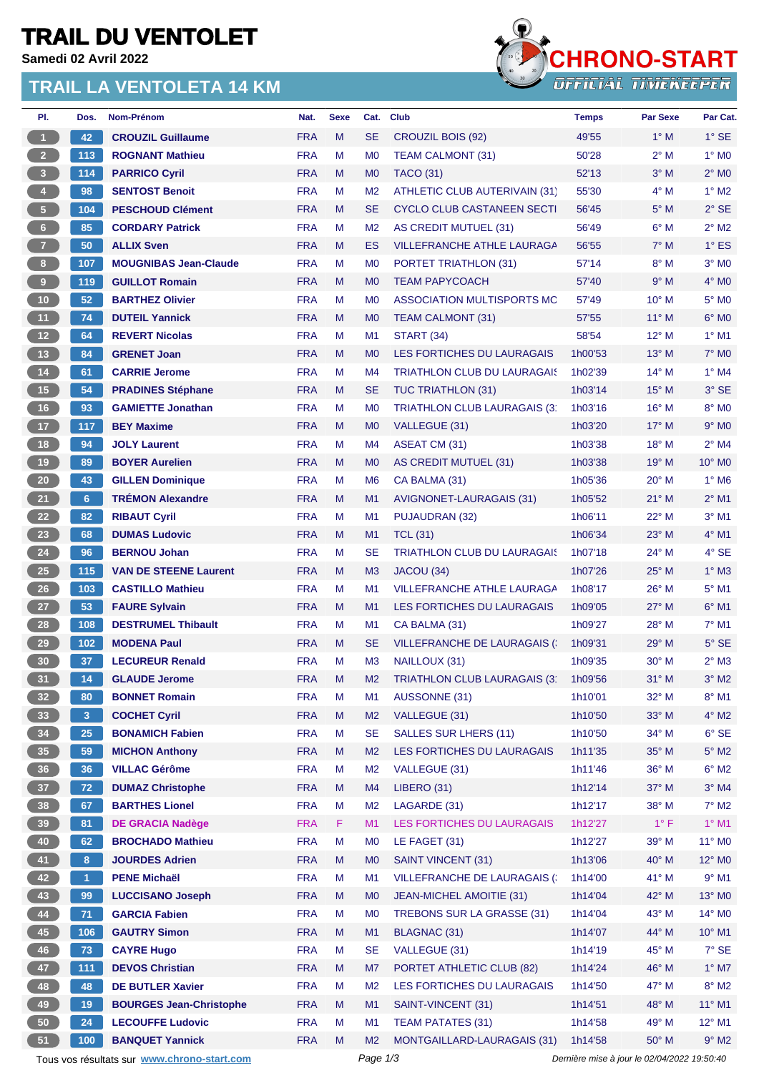# **TRAIL DU VENTOLET**

**Samedi 02 Avril 2022**

#### **TRAIL LA VENTOLETA 14 KM**



| PI.                     | Dos.                 | Nom-Prénom                                  | Nat.                     | <b>Sexe</b> | Cat.            | <b>Club</b>                                             | <b>Temps</b>       | <b>Par Sexe</b> | Par Cat.                    |
|-------------------------|----------------------|---------------------------------------------|--------------------------|-------------|-----------------|---------------------------------------------------------|--------------------|-----------------|-----------------------------|
| $\blacksquare$          | 42                   | <b>CROUZIL Guillaume</b>                    | <b>FRA</b>               | M           | <b>SE</b>       | CROUZIL BOIS (92)                                       | 49'55              | $1^\circ$ M     | $1^\circ$ SE                |
| 2 <sup>7</sup>          | 113                  | <b>ROGNANT Mathieu</b>                      | <b>FRA</b>               | M           | M <sub>0</sub>  | <b>TEAM CALMONT (31)</b>                                | 50'28              | $2^{\circ}$ M   | $1^\circ$ MO                |
| $\overline{\mathbf{3}}$ | 114                  | <b>PARRICO Cyril</b>                        | <b>FRA</b>               | M           | M <sub>0</sub>  | <b>TACO (31)</b>                                        | 52'13              | $3^\circ$ M     | $2^{\circ}$ MO              |
| $\overline{4}$          | 98                   | <b>SENTOST Benoit</b>                       | <b>FRA</b>               | M           | M <sub>2</sub>  | <b>ATHLETIC CLUB AUTERIVAIN (31)</b>                    | 55'30              | $4^\circ$ M     | $1^\circ$ M2                |
| $\sqrt{5}$              | 104                  | <b>PESCHOUD Clément</b>                     | <b>FRA</b>               | M           | <b>SE</b>       | CYCLO CLUB CASTANEEN SECTI                              | 56'45              | $5^\circ$ M     | $2°$ SE                     |
| 6 <sup>1</sup>          | 85                   | <b>CORDARY Patrick</b>                      | <b>FRA</b>               | M           | M <sub>2</sub>  | AS CREDIT MUTUEL (31)                                   | 56'49              | $6^\circ$ M     | $2^{\circ}$ M2              |
| 7 <sup>2</sup>          | 50                   | <b>ALLIX Sven</b>                           | <b>FRA</b>               | M           | ES              | <b>VILLEFRANCHE ATHLE LAURAGA</b>                       | 56'55              | $7^\circ$ M     | $1^\circ$ ES                |
| 8 <sub>1</sub>          | 107                  | <b>MOUGNIBAS Jean-Claude</b>                | <b>FRA</b>               | M           | M <sub>0</sub>  | PORTET TRIATHLON (31)                                   | 57'14              | $8^\circ$ M     | $3°$ MO                     |
| 9                       | 119                  | <b>GUILLOT Romain</b>                       | <b>FRA</b>               | M           | M <sub>0</sub>  | <b>TEAM PAPYCOACH</b>                                   | 57'40              | $9^\circ$ M     | $4^\circ$ MO                |
| $10$                    | 52                   | <b>BARTHEZ Olivier</b>                      | <b>FRA</b>               | M           | M <sub>0</sub>  | ASSOCIATION MULTISPORTS MC                              | 57'49              | $10^{\circ}$ M  | 5° M <sub>0</sub>           |
| 11                      | 74                   | <b>DUTEIL Yannick</b>                       | <b>FRA</b>               | M           | M <sub>0</sub>  | TEAM CALMONT (31)                                       | 57'55              | $11^{\circ}$ M  | $6^\circ$ MO                |
| $12$                    | 64                   | <b>REVERT Nicolas</b>                       | <b>FRA</b>               | M           | M <sub>1</sub>  | <b>START (34)</b>                                       | 58'54              | $12^{\circ}$ M  | $1^\circ$ M1                |
| 13                      | 84                   | <b>GRENET Joan</b>                          | <b>FRA</b>               | M           | M <sub>0</sub>  | LES FORTICHES DU LAURAGAIS                              | 1h00'53            | $13^{\circ}$ M  | $7^\circ$ M <sub>0</sub>    |
| $14$                    | 61                   | <b>CARRIE Jerome</b>                        | <b>FRA</b>               | M           | M4              | <b>TRIATHLON CLUB DU LAURAGAIS</b>                      | 1h02'39            | $14^{\circ}$ M  | $1^\circ$ M4                |
| 15                      | 54                   | <b>PRADINES Stéphane</b>                    | <b>FRA</b>               | M           | <b>SE</b>       | <b>TUC TRIATHLON (31)</b>                               | 1h03'14            | $15^{\circ}$ M  | 3° SE                       |
| 16                      | 93                   | <b>GAMIETTE Jonathan</b>                    | <b>FRA</b>               | M           | M <sub>0</sub>  | TRIATHLON CLUB LAURAGAIS (3)                            | 1h03'16            | $16^{\circ}$ M  | 8° M <sub>0</sub>           |
| $17$                    | 117                  | <b>BEY Maxime</b>                           | <b>FRA</b>               | M           | M <sub>0</sub>  | VALLEGUE (31)                                           | 1h03'20            | $17^{\circ}$ M  | $9°$ M <sub>0</sub>         |
| 18                      | 94                   | <b>JOLY Laurent</b>                         | <b>FRA</b>               | M           | M4              | ASEAT CM (31)                                           | 1h03'38            | 18° M           | $2^{\circ}$ M4              |
| 19                      | 89                   | <b>BOYER Aurelien</b>                       | <b>FRA</b>               | M           | M <sub>0</sub>  | AS CREDIT MUTUEL (31)                                   | 1h03'38            | $19°$ M         | $10^{\circ}$ M <sub>0</sub> |
| 20                      | 43                   | <b>GILLEN Dominique</b>                     | <b>FRA</b>               | M           | M <sub>6</sub>  | CA BALMA (31)                                           | 1h05'36            | $20^\circ$ M    | $1^\circ$ M <sub>6</sub>    |
| 21                      | 6 <sup>1</sup>       | <b>TRÉMON Alexandre</b>                     | <b>FRA</b>               | M           | M1              | AVIGNONET-LAURAGAIS (31)                                | 1h05'52            | $21°$ M         | $2^{\circ}$ M1              |
| 22                      | 82                   | <b>RIBAUT Cyril</b>                         | <b>FRA</b>               | M           | M <sub>1</sub>  | PUJAUDRAN (32)                                          | 1h06'11            | $22^{\circ}$ M  | $3°$ M1                     |
| 23                      | 68                   | <b>DUMAS Ludovic</b>                        | <b>FRA</b>               | M           | M1              | <b>TCL (31)</b>                                         | 1h06'34            | 23° M           | $4^{\circ}$ M1              |
| 24                      | 96                   | <b>BERNOU Johan</b>                         | <b>FRA</b>               | M           | <b>SE</b>       | <b>TRIATHLON CLUB DU LAURAGAIS</b>                      | 1h07'18            | $24^{\circ}$ M  | 4° SE                       |
| 25                      | 115                  | <b>VAN DE STEENE Laurent</b>                | <b>FRA</b>               | M           | M <sub>3</sub>  | JACOU (34)                                              | 1h07'26            | 25° M           | $1^\circ$ M3                |
| 26                      | 103                  | <b>CASTILLO Mathieu</b>                     | <b>FRA</b>               | M           | M <sub>1</sub>  | <b>VILLEFRANCHE ATHLE LAURAGA</b>                       | 1h08'17            | 26° M           | $5^{\circ}$ M1              |
| 27                      | 53                   | <b>FAURE Sylvain</b>                        | <b>FRA</b>               | M           | M1              | LES FORTICHES DU LAURAGAIS                              | 1h09'05            | $27^\circ$ M    | $6°$ M1                     |
| 28                      | 108                  | <b>DESTRUMEL Thibault</b>                   | <b>FRA</b>               | M           | M <sub>1</sub>  | CA BALMA (31)                                           | 1h09'27            | 28° M           | $7°$ M1                     |
| 29                      | 102                  | <b>MODENA Paul</b>                          | <b>FRA</b>               | M           | <b>SE</b>       | <b>VILLEFRANCHE DE LAURAGAIS (</b>                      | 1h09'31            | $29^\circ$ M    | $5^\circ$ SE                |
| 30                      | 37                   | <b>LECUREUR Renald</b>                      | <b>FRA</b>               | M           | M <sub>3</sub>  | NAILLOUX (31)                                           | 1h09'35            | $30^\circ$ M    | $2^{\circ}$ M3              |
| 31                      | 14                   | <b>GLAUDE Jerome</b>                        | <b>FRA</b>               | M           | M <sub>2</sub>  | <b>TRIATHLON CLUB LAURAGAIS (3)</b>                     | 1h09'56            | $31^\circ$ M    | $3^\circ$ M2                |
| 32 <sub>2</sub>         | 80                   | <b>BONNET Romain</b>                        | <b>FRA</b>               | M           | M1              | AUSSONNE (31)                                           | 1h10'01            | 32° M           | $8^\circ$ M1                |
| 33                      | 3 <sup>7</sup>       | <b>COCHET Cyril</b>                         | <b>FRA</b>               | M           | M <sub>2</sub>  | VALLEGUE (31)                                           | 1h10'50            | 33° M           | $4^\circ$ M2                |
| 34                      | 25                   | <b>BONAMICH Fabien</b>                      | <b>FRA</b>               | M           | <b>SE</b>       | <b>SALLES SUR LHERS (11)</b>                            | 1h10'50            | 34° M           | $6^\circ$ SE                |
| 35                      | 59                   | <b>MICHON Anthony</b>                       | <b>FRA</b>               | M           | M <sub>2</sub>  | LES FORTICHES DU LAURAGAIS                              | 1h11'35            | 35° M           | $5^\circ$ M2                |
| 36                      | 36                   | <b>VILLAC Gérôme</b>                        | <b>FRA</b>               | M           | M <sub>2</sub>  | VALLEGUE (31)                                           | 1h11'46            | 36° M           | $6^{\circ}$ M2              |
| 37 <sup>°</sup>         | 72                   | <b>DUMAZ Christophe</b>                     | <b>FRA</b>               | M           | M4              | <b>LIBERO (31)</b>                                      | 1h12'14            | 37° M           | $3°$ M4                     |
| 38                      | 67                   | <b>BARTHES Lionel</b>                       | <b>FRA</b>               | M           | M <sub>2</sub>  | LAGARDE (31)                                            | 1h12'17            | 38° M           | $7^\circ$ M2                |
| 39                      | 81                   | <b>DE GRACIA Nadège</b>                     | <b>FRA</b>               | F           | M <sub>1</sub>  | LES FORTICHES DU LAURAGAIS                              | 1h12'27            | $1^{\circ}$ F   | $1^\circ$ M1                |
| 40                      | 62                   | <b>BROCHADO Mathieu</b>                     | <b>FRA</b>               | M           | M <sub>0</sub>  | LE FAGET (31)                                           | 1h12'27            | 39° M           | 11° MO                      |
| 41                      | 8 <sup>1</sup>       | <b>JOURDES Adrien</b>                       | <b>FRA</b>               | M           | M <sub>0</sub>  | <b>SAINT VINCENT (31)</b>                               | 1h13'06            | $40^{\circ}$ M  | 12° M <sub>0</sub>          |
| 42                      | $\blacktriangleleft$ | <b>PENE Michaël</b>                         | <b>FRA</b>               | M           | M <sub>1</sub>  | <b>VILLEFRANCHE DE LAURAGAIS (:</b>                     | 1h14'00            | 41° M           | $9°$ M1                     |
| 43                      | 99                   | <b>LUCCISANO Joseph</b>                     | <b>FRA</b>               | M           | M <sub>0</sub>  | JEAN-MICHEL AMOITIE (31)                                | 1h14'04            | 42° M           | 13° MO                      |
| 44                      | 71                   | <b>GARCIA Fabien</b>                        | <b>FRA</b>               | M           | M <sub>0</sub>  | TREBONS SUR LA GRASSE (31)                              | 1h14'04            | 43° M<br>44° M  | 14° M0<br>$10^{\circ}$ M1   |
| 45                      | 106                  | <b>GAUTRY Simon</b>                         | <b>FRA</b><br><b>FRA</b> | M<br>M      | M1<br><b>SE</b> | <b>BLAGNAC (31)</b><br>VALLEGUE (31)                    | 1h14'07<br>1h14'19 | 45° M           | $7^\circ$ SE                |
| 46<br>47                | 73<br>111            | <b>CAYRE Hugo</b><br><b>DEVOS Christian</b> | <b>FRA</b>               | M           | M7              |                                                         | 1h14'24            | 46° M           | $1^\circ$ M7                |
| 48                      | 48                   | <b>DE BUTLER Xavier</b>                     | <b>FRA</b>               | M           | M <sub>2</sub>  | PORTET ATHLETIC CLUB (82)<br>LES FORTICHES DU LAURAGAIS | 1h14'50            | 47° M           | $8^\circ$ M2                |
| 49                      | 19                   | <b>BOURGES Jean-Christophe</b>              | <b>FRA</b>               | M           | M1              | SAINT-VINCENT (31)                                      | 1h14'51            | 48° M           | $11^{\circ}$ M1             |
| 50                      | 24                   | <b>LECOUFFE Ludovic</b>                     | <b>FRA</b>               | M           | M1              | <b>TEAM PATATES (31)</b>                                | 1h14'58            | 49° M           | 12° M1                      |
| 51                      | 100                  | <b>BANQUET Yannick</b>                      | <b>FRA</b>               | M           | M <sub>2</sub>  | MONTGAILLARD-LAURAGAIS (31)                             | 1h14'58            | $50^\circ$ M    | $9^\circ$ M2                |
|                         |                      |                                             |                          |             |                 |                                                         |                    |                 |                             |

Tous vos résultats sur **[www.chrono-start.com](https://www.chrono-start.com/)** Page 1/3 Page 1/3 Dernière mise à jour le 02/04/2022 19:50:40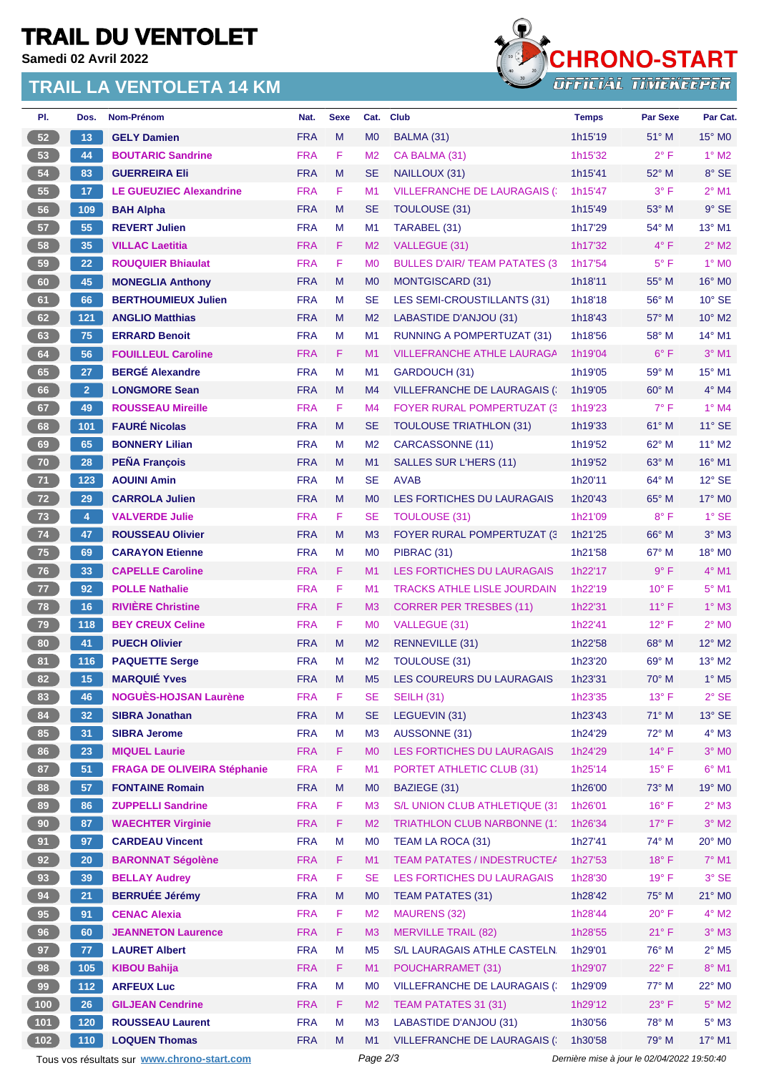# **TRAIL DU VENTOLET**

**Samedi 02 Avril 2022**

#### **TRAIL LA VENTOLETA 14 KM**



| PI.                                                                                                    | Dos.            | Nom-Prénom                         | Nat.       | <b>Sexe</b> | Cat.           | <b>Club</b>                           | <b>Temps</b> | <b>Par Sexe</b> | Par Cat.                   |
|--------------------------------------------------------------------------------------------------------|-----------------|------------------------------------|------------|-------------|----------------|---------------------------------------|--------------|-----------------|----------------------------|
| 52                                                                                                     | 13              | <b>GELY Damien</b>                 | <b>FRA</b> | M           | M <sub>0</sub> | BALMA (31)                            | 1h15'19      | $51^\circ$ M    | 15° MO                     |
| 53                                                                                                     | 44              | <b>BOUTARIC Sandrine</b>           | <b>FRA</b> | F           | M <sub>2</sub> | CA BALMA (31)                         | 1h15'32      | $2^{\circ}$ F   | $1^\circ$ M2               |
| 54                                                                                                     | 83              | <b>GUERREIRA Eli</b>               | <b>FRA</b> | M           | SE             | NAILLOUX (31)                         | 1h15'41      | 52° M           | 8° SE                      |
| 55                                                                                                     | 17 <sub>2</sub> | <b>LE GUEUZIEC Alexandrine</b>     | <b>FRA</b> | F.          | M1             | <b>VILLEFRANCHE DE LAURAGAIS (:</b>   | 1h15'47      | $3^{\circ}$ F   | $2^{\circ}$ M1             |
| 56                                                                                                     | 109             | <b>BAH Alpha</b>                   | <b>FRA</b> | M           | <b>SE</b>      | TOULOUSE (31)                         | 1h15'49      | $53^\circ$ M    | $9°$ SE                    |
| 57                                                                                                     | 55              | <b>REVERT Julien</b>               | <b>FRA</b> | М           | M <sub>1</sub> | TARABEL (31)                          | 1h17'29      | 54° M           | 13° M1                     |
| 58                                                                                                     | 35              | <b>VILLAC Laetitia</b>             | <b>FRA</b> | F.          | M <sub>2</sub> | VALLEGUE (31)                         | 1h17'32      | $4^{\circ}$ F   | $2^{\circ}$ M2             |
| 59                                                                                                     | 22              | <b>ROUQUIER Bhiaulat</b>           | <b>FRA</b> | F           | M <sub>0</sub> | <b>BULLES D'AIR/ TEAM PATATES (3)</b> | 1h17'54      | $5^{\circ}$ F   | $1^\circ$ MO               |
| 60                                                                                                     | 45              | <b>MONEGLIA Anthony</b>            | <b>FRA</b> | M           | M <sub>0</sub> | <b>MONTGISCARD (31)</b>               | 1h18'11      | 55° M           | $16^\circ$ MO              |
| 61                                                                                                     | 66              | <b>BERTHOUMIEUX Julien</b>         | <b>FRA</b> | M           | <b>SE</b>      | LES SEMI-CROUSTILLANTS (31)           | 1h18'18      | 56° M           | $10^{\circ}$ SE            |
| 62                                                                                                     | 121             | <b>ANGLIO Matthias</b>             | <b>FRA</b> | M           | M <sub>2</sub> | LABASTIDE D'ANJOU (31)                | 1h18'43      | $57^\circ$ M    | $10^{\circ}$ M2            |
| 63                                                                                                     | 75              | <b>ERRARD Benoit</b>               | <b>FRA</b> | М           | M <sub>1</sub> | <b>RUNNING A POMPERTUZAT (31)</b>     | 1h18'56      | 58° M           | 14° M1                     |
| 64                                                                                                     | 56              | <b>FOUILLEUL Caroline</b>          | <b>FRA</b> | F           | M <sub>1</sub> | <b>VILLEFRANCHE ATHLE LAURAGA</b>     | 1h19'04      | $6^{\circ}$ F   | $3°$ M1                    |
| 65                                                                                                     | 27              | <b>BERGÉ Alexandre</b>             | <b>FRA</b> | M           | M <sub>1</sub> | GARDOUCH (31)                         | 1h19'05      | $59^\circ$ M    | 15° M1                     |
| 66                                                                                                     | 2 <sup>7</sup>  | <b>LONGMORE Sean</b>               | <b>FRA</b> | M           | M4             | <b>VILLEFRANCHE DE LAURAGAIS (</b>    | 1h19'05      | $60^\circ$ M    | $4^\circ$ M4               |
| 67                                                                                                     | 49              | <b>ROUSSEAU Mireille</b>           | <b>FRA</b> | F           | M4             | <b>FOYER RURAL POMPERTUZAT (3)</b>    | 1h19'23      | $7^{\circ}$ F   | $1^\circ$ M4               |
| 68                                                                                                     | 101             | <b>FAURÉ Nicolas</b>               | <b>FRA</b> | M           | <b>SE</b>      | <b>TOULOUSE TRIATHLON (31)</b>        | 1h19'33      | 61° M           | $11^{\circ}$ SE            |
| 69                                                                                                     | 65              | <b>BONNERY Lilian</b>              | <b>FRA</b> | M           | M <sub>2</sub> | CARCASSONNE (11)                      | 1h19'52      | 62° M           | 11° M2                     |
| 70                                                                                                     | 28              | <b>PEÑA François</b>               | <b>FRA</b> | M           | M1             | <b>SALLES SUR L'HERS (11)</b>         | 1h19'52      | $63^\circ$ M    | $16^{\circ}$ M1            |
| 71                                                                                                     | 123             | <b>AOUINI Amin</b>                 | <b>FRA</b> | м           | <b>SE</b>      | <b>AVAB</b>                           | 1h20'11      | $64^{\circ}$ M  | $12^{\circ}$ SE            |
| 72                                                                                                     | 29              | <b>CARROLA Julien</b>              | <b>FRA</b> | M           | M <sub>0</sub> | LES FORTICHES DU LAURAGAIS            | 1h20'43      | 65° M           | 17° M0                     |
| 73                                                                                                     | $\overline{4}$  | <b>VALVERDE Julie</b>              | <b>FRA</b> | F.          | <b>SE</b>      | <b>TOULOUSE (31)</b>                  | 1h21'09      | $8^{\circ}$ F   | $1^\circ$ SE               |
| 74                                                                                                     | 47              | <b>ROUSSEAU Olivier</b>            | <b>FRA</b> | M           | M3             | <b>FOYER RURAL POMPERTUZAT (3)</b>    | 1h21'25      | $66^{\circ}$ M  | $3°$ M $3$                 |
| 75                                                                                                     | 69              | <b>CARAYON Etienne</b>             | <b>FRA</b> | M           | M <sub>0</sub> | PIBRAC (31)                           | 1h21'58      | $67^\circ$ M    | $18^\circ$ MO              |
| 76                                                                                                     | 33              | <b>CAPELLE Caroline</b>            | <b>FRA</b> | F.          | M <sub>1</sub> | <b>LES FORTICHES DU LAURAGAIS</b>     | 1h22'17      | $9^{\circ}$ F   | $4^\circ$ M1               |
| 77                                                                                                     | 92              | <b>POLLE Nathalie</b>              | <b>FRA</b> | F           | M <sub>1</sub> | <b>TRACKS ATHLE LISLE JOURDAIN</b>    | 1h22'19      | $10^{\circ}$ F  | 5° M1                      |
| 78                                                                                                     | 16              | <b>RIVIÈRE Christine</b>           | <b>FRA</b> | F           | M3             | <b>CORRER PER TRESBES (11)</b>        | 1h22'31      | $11^{\circ}$ F  | $1^\circ$ M3               |
| 79                                                                                                     | 118             | <b>BEY CREUX Celine</b>            | <b>FRA</b> | F           | M <sub>0</sub> | VALLEGUE (31)                         | 1h22'41      | $12^{\circ}$ F  | $2^{\circ}$ MO             |
| 80                                                                                                     | 41              | <b>PUECH Olivier</b>               | <b>FRA</b> | M           | M <sub>2</sub> | <b>RENNEVILLE (31)</b>                | 1h22'58      | 68° M           | 12° M2                     |
| 81                                                                                                     | 116             | <b>PAQUETTE Serge</b>              | <b>FRA</b> | M           | M <sub>2</sub> | TOULOUSE (31)                         | 1h23'20      | $69^\circ$ M    | 13° M2                     |
| 82                                                                                                     | 15              | <b>MARQUIÉ Yves</b>                | <b>FRA</b> | M           | M <sub>5</sub> | LES COUREURS DU LAURAGAIS             | 1h23'31      | 70° M           | $1^\circ$ M <sub>5</sub>   |
| 83                                                                                                     | 46              | <b>NOGUÈS-HOJSAN Laurène</b>       | <b>FRA</b> | F           | <b>SE</b>      | <b>SEILH (31)</b>                     | 1h23'35      | $13^{\circ}$ F  | $2°$ SE                    |
| 84                                                                                                     | 32              | <b>SIBRA Jonathan</b>              | <b>FRA</b> | M           | SE             | LEGUEVIN (31)                         | 1h23'43      | 71° M           | $13^\circ$ SE              |
| 85                                                                                                     | 31              | <b>SIBRA Jerome</b>                | <b>FRA</b> | M           | M3             | AUSSONNE (31)                         | 1h24'29      | 72° M           | $4^\circ$ M3               |
| 86                                                                                                     | 23              | <b>MIQUEL Laurie</b>               | <b>FRA</b> | F           | <b>MO</b>      | LES FORTICHES DU LAURAGAIS            | 1h24'29      | $14^{\circ}$ F  | $3°$ MO                    |
| 87                                                                                                     | 51              | <b>FRAGA DE OLIVEIRA Stéphanie</b> | <b>FRA</b> | F           | M <sub>1</sub> | PORTET ATHLETIC CLUB (31)             | 1h25'14      | $15^{\circ}$ F  | $6^{\circ}$ M1             |
| 88                                                                                                     | 57              | <b>FONTAINE Romain</b>             | <b>FRA</b> | M           | M <sub>0</sub> | BAZIEGE (31)                          | 1h26'00      | 73° M           | 19° MO                     |
| 89                                                                                                     | 86              | <b>ZUPPELLI Sandrine</b>           | <b>FRA</b> | F           | M3             | S/L UNION CLUB ATHLETIQUE (31         | 1h26'01      | $16^{\circ}$ F  | $2^\circ$ M3               |
| 90                                                                                                     | 87              | <b>WAECHTER Virginie</b>           | <b>FRA</b> | F.          | M <sub>2</sub> | TRIATHLON CLUB NARBONNE (11           | 1h26'34      | $17^{\circ}$ F  | $3^\circ$ M2               |
| 91                                                                                                     | 97              | <b>CARDEAU Vincent</b>             | <b>FRA</b> | M           | M <sub>0</sub> | TEAM LA ROCA (31)                     | 1h27'41      | 74° M           | 20° M <sub>0</sub>         |
| 92                                                                                                     | 20 <sub>2</sub> | <b>BARONNAT Ségolène</b>           | <b>FRA</b> | F           | M1             | TEAM PATATES / INDESTRUCTE/           | 1h27'53      | $18^{\circ}$ F  | $7^\circ$ M1               |
| 93                                                                                                     | 39              | <b>BELLAY Audrey</b>               | <b>FRA</b> | F           | <b>SE</b>      | LES FORTICHES DU LAURAGAIS            | 1h28'30      | $19°$ F         | 3° SE                      |
| 94                                                                                                     | 21              | <b>BERRUÉE Jérémy</b>              | <b>FRA</b> | ${\sf M}$   | M <sub>0</sub> | <b>TEAM PATATES (31)</b>              | 1h28'42      | 75° M           | 21° MO                     |
| 95                                                                                                     | 91              | <b>CENAC Alexia</b>                | <b>FRA</b> | F           | M <sub>2</sub> | <b>MAURENS (32)</b>                   | 1h28'44      | $20^{\circ}$ F  | $4^\circ$ M2               |
| 96                                                                                                     | 60              | <b>JEANNETON Laurence</b>          | <b>FRA</b> | F           | M <sub>3</sub> | <b>MERVILLE TRAIL (82)</b>            | 1h28'55      | $21^{\circ}$ F  | $3^\circ$ M3               |
| 97                                                                                                     | 77              | <b>LAURET Albert</b>               | <b>FRA</b> | M           | M <sub>5</sub> | S/L LAURAGAIS ATHLE CASTELN.          | 1h29'01      | 76° M           | $2^{\circ}$ M <sub>5</sub> |
| 98                                                                                                     | 105             | <b>KIBOU Bahija</b>                | <b>FRA</b> | F.          | M1             | POUCHARRAMET (31)                     | 1h29'07      | $22^{\circ}$ F  | $8^\circ$ M1               |
| 99                                                                                                     | $112$           | <b>ARFEUX Luc</b>                  | <b>FRA</b> | М           | M <sub>0</sub> | <b>VILLEFRANCHE DE LAURAGAIS (:</b>   | 1h29'09      | 77° M           | 22° MO                     |
| $100$                                                                                                  | 26              | <b>GILJEAN Cendrine</b>            | <b>FRA</b> | F           | M <sub>2</sub> | TEAM PATATES 31 (31)                  | 1h29'12      | $23^{\circ}$ F  | $5^\circ$ M2               |
| 101                                                                                                    | 120             | <b>ROUSSEAU Laurent</b>            | <b>FRA</b> | M           | M <sub>3</sub> | LABASTIDE D'ANJOU (31)                | 1h30'56      | 78° M           | $5^\circ$ M3               |
| $102$                                                                                                  | 110             | <b>LOQUEN Thomas</b>               | <b>FRA</b> | M           | M1             | <b>VILLEFRANCHE DE LAURAGAIS (</b>    | 1h30'58      | 79° M           | 17° M1                     |
| Tous vos résultats sur www.chrono-start.com<br>Page 2/3<br>Dernière mise à jour le 02/04/2022 19:50:40 |                 |                                    |            |             |                |                                       |              |                 |                            |